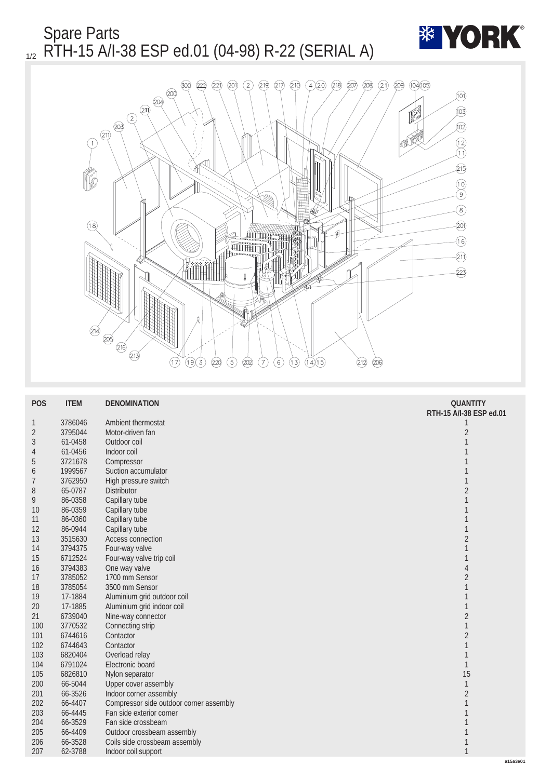Spare Parts 1/2 RTH-15 A/I-38 ESP ed.01 (04-98) R-22 (SERIAL A)





| <b>POS</b>       | <b>ITEM</b> | <b>DENOMINATION</b>                     | <b>QUANTITY</b>         |
|------------------|-------------|-----------------------------------------|-------------------------|
|                  |             |                                         | RTH-15 A/I-38 ESP ed.01 |
| $\mathbf{1}$     | 3786046     | Ambient thermostat                      | 1                       |
| $\boldsymbol{2}$ | 3795044     | Motor-driven fan                        | $\sqrt{2}$              |
| $\boldsymbol{3}$ | 61-0458     | Outdoor coil                            | $\mathbf{1}$            |
| $\overline{4}$   | 61-0456     | Indoor coil                             | $\mathbf{1}$            |
| $\overline{5}$   | 3721678     | Compressor                              | $\mathbf{1}$            |
| 6                | 1999567     | Suction accumulator                     | $\mathbf{1}$            |
| 7                | 3762950     | High pressure switch                    | $\mathbf{1}$            |
| 8                | 65-0787     | Distributor                             | $\overline{c}$          |
| 9                | 86-0358     | Capillary tube                          | $\mathbf{1}$            |
| <b>10</b>        | 86-0359     | Capillary tube                          | 1                       |
| 11               | 86-0360     | Capillary tube                          | 1                       |
| 12               | 86-0944     | Capillary tube                          | $\mathbf{1}$            |
| 13               | 3515630     | <b>Access connection</b>                | $\sqrt{2}$              |
| 14               | 3794375     | Four-way valve                          | $\mathbf{1}$            |
| 15               | 6712524     | Four-way valve trip coil                | $\mathbf{1}$            |
| 16               | 3794383     | One way valve                           | 4                       |
| 17               | 3785052     | 1700 mm Sensor                          | $\sqrt{2}$              |
| 18               | 3785054     | 3500 mm Sensor                          | $\mathbf{1}$            |
| 19               | 17-1884     | Aluminium grid outdoor coil             | $\mathbf{1}$            |
| 20               | 17-1885     | Aluminium grid indoor coil              | $\mathbf{1}$            |
| 21               | 6739040     | Nine-way connector                      | $\sqrt{2}$              |
| 100              | 3770532     | Connecting strip                        | $\mathbf{1}$            |
| 101              | 6744616     | Contactor                               | $\sqrt{2}$              |
| 102              | 6744643     | Contactor                               | $\mathbf{1}$            |
| 103              | 6820404     | Overload relay                          | $\mathbf{1}$            |
| 104              | 6791024     | Electronic board                        | $\mathbf{1}$            |
| 105              | 6826810     | Nylon separator                         | 15                      |
| 200              | 66-5044     | <b>Upper cover assembly</b>             | $\mathbf{1}$            |
| 201              | 66-3526     | Indoor corner assembly                  | $\sqrt{2}$              |
| 202              | 66-4407     | Compressor side outdoor corner assembly | $1\,$                   |
| 203              | 66-4445     | Fan side exterior corner                | $\mathbf{1}$            |
| 204              | 66-3529     | Fan side crossbeam                      | 1                       |
| 205              | 66-4409     | Outdoor crossbeam assembly              | $\mathbf{1}$            |
| 206              | 66-3528     | Coils side crossbeam assembly           | 1                       |
| 207              | 62-3788     | Indoor coil support                     | $\mathbf{1}$            |
|                  |             |                                         | a15a3e01                |